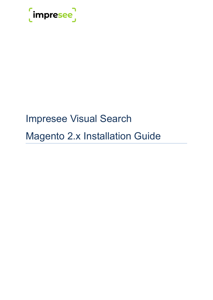

# Impresee Visual Search Magento 2.x Installation Guide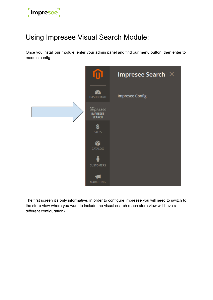

# Using Impresee Visual Search Module:

Once you install our module, enter your admin panel and find our menu button, then enter to module config.



The first screen it's only informative, in order to configure Impresee you will need to switch to the store view where you want to include the visual search (each store view will have a different configuration).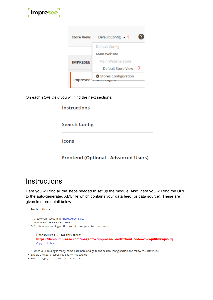

| <b>Store View:</b> | Default Config $\sim$ 1                               |   |
|--------------------|-------------------------------------------------------|---|
|                    | Default Config                                        |   |
|                    | Main Website                                          |   |
| <b>IMPRESEE</b>    | Main Website Store                                    |   |
|                    | <b>Default Store View</b>                             | 2 |
|                    | Stores Configuration<br><b>Impresee Search Engine</b> |   |
|                    |                                                       |   |

On each *store view* you will find the next sections:

| <b>Instructions</b>  |  |
|----------------------|--|
| <b>Search Config</b> |  |
| lcons                |  |
|                      |  |

**Frontend (Optional - Advanced Users)** 

### **Instructions**

Here you will find all the steps needed to set up the module. Also, here you will find the URL to the auto-generated XML file which contains your data feed (or data source). These are given in more detail below:

#### **Instructions**

- 1. Create your account in Impresee Console.
- 2. Sign In and create a new project.
- 3. Create a new catalog on the project using your store datasource:

#### **Datasource URL for this store:** https://demo.impresee.com/magento2/impresee/Feed/?client\_code=xbv5qu8fwzvqwvrq Copy to clipboard.

4. Once your catalog is ready, come back here and go to the search config section and follow the next steps:

- . Enable the search types you set for this catalog
- For each type, paste the search service URL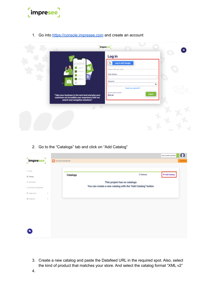

1. Go into <https://console.impresee.com> and create an account

|                                                                                                                                             | <i>impresee</i>                                                                                                                                                          |    |
|---------------------------------------------------------------------------------------------------------------------------------------------|--------------------------------------------------------------------------------------------------------------------------------------------------------------------------|----|
| "Take your business to the next level and give your<br>customers an incredible user experience with our<br>search and navigation solutions" | Log in<br>Log in with Google<br>G<br>Or log in with your email -<br>Email Address<br>Password<br>Forgot your password?<br>You don't have an account?<br>Login<br>Sign.up | ۰  |
|                                                                                                                                             |                                                                                                                                                                          | N. |

2. Go to the "Catalogs" tab and click on "Add Catalog"

| $[$ impresee $]$            |          |                            |                                                            | CAM.ALWAEZ.IBOMM. |
|-----------------------------|----------|----------------------------|------------------------------------------------------------|-------------------|
|                             |          | You have 0 trial days left |                                                            |                   |
| $(7)$ Home                  |          |                            |                                                            |                   |
| <b>El Catalogs</b>          |          | Catalogs                   | $\mathbb C$ Refresh                                        | + Add Catalog     |
| @ Subscription              |          |                            | This project has no catalogs                               |                   |
| C Text Search Configuration |          |                            | You can create a new catalog with the "Add Catalog" button |                   |
| (C) Image search            | $\sim$   |                            |                                                            |                   |
| <b>G</b> Integration        | $\omega$ |                            |                                                            |                   |
|                             |          |                            |                                                            |                   |
|                             |          |                            |                                                            |                   |
|                             |          |                            |                                                            |                   |
|                             |          |                            |                                                            |                   |
|                             |          |                            |                                                            |                   |
|                             |          |                            |                                                            |                   |
|                             |          |                            |                                                            |                   |

3. Create a new catalog and paste the Datafeed URL in the required spot. Also, select the kind of product that matches your store. And select the catalog format "XML v2"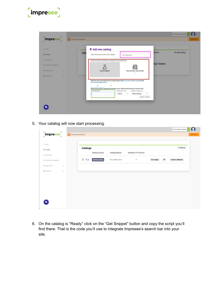

|                              |                                                                                                                                                         | CAN ALWARZ HIS GAMA. |
|------------------------------|---------------------------------------------------------------------------------------------------------------------------------------------------------|----------------------|
| impresee                     | Vou have D trial days left                                                                                                                              |                      |
| (ii) Home                    | + Add new catalog                                                                                                                                       |                      |
| C Catalogs                   | <b>tefresh</b><br>Cata<br>insert the name of your new catalog:<br>Your catalog name                                                                     | + Add Catalog        |
| (3) Subscription             | Select the type of products contained in the data feed:                                                                                                 |                      |
| C Text Search Configuration  | log" button                                                                                                                                             |                      |
| <b>CO</b> treage search<br>w | <b>Fashion &amp; apparel</b><br>Harne and Deco, Toys and other                                                                                          |                      |
| <b>Ci</b> Integration<br>w   | ÷                                                                                                                                                       |                      |
|                              | Select the seurce of the data feed. We currently support XML (documentation and example) and CSV<br><b>Elecumentation and exempts).</b>                 |                      |
|                              | LIEL.<br><b>File</b>                                                                                                                                    |                      |
|                              | Please insert the URL to develop the data feed of your catalog and the frecuency to check the URL.<br>Catalog URL<br>Catalog Format<br>Update Frequency |                      |
|                              | xml v2<br>Every 6 Hours<br>w.<br>$\omega$                                                                                                               |                      |
|                              | Deale Dance                                                                                                                                             |                      |
|                              |                                                                                                                                                         |                      |
|                              |                                                                                                                                                         |                      |
|                              |                                                                                                                                                         |                      |
|                              |                                                                                                                                                         |                      |

5. Your catalog will now start processing.

| $(7)$ Home                             |              |                                          |                       |                     |                    |                    |              |                          |
|----------------------------------------|--------------|------------------------------------------|-----------------------|---------------------|--------------------|--------------------|--------------|--------------------------|
| <sup>[]</sup> Catalogs                 |              | <b>Catalogs</b>                          |                       |                     |                    |                    |              | $\mathbb C$ Refresh      |
| Subscription                           |              |                                          | <b>Catalog Status</b> | <b>Catalog Name</b> | Number of Products |                    |              |                          |
| <sup>2</sup> Text Search Configuration |              | $\left\lfloor \frac{1}{2} \right\rfloor$ | Updating Catalog      | Your catalog name   | $\mathbb O$        | <b>Get snippet</b> | $\pmb{\Phi}$ | <b>Custom attributes</b> |
| <sup>(2)</sup> Image search            | $\checkmark$ |                                          |                       |                     |                    |                    |              |                          |
| <b>公</b> Integration                   | $\checkmark$ |                                          |                       |                     |                    |                    |              |                          |
|                                        |              |                                          |                       |                     |                    |                    |              |                          |
|                                        |              |                                          |                       |                     |                    |                    |              |                          |
|                                        |              |                                          |                       |                     |                    |                    |              |                          |
|                                        |              |                                          |                       |                     |                    |                    |              |                          |
|                                        |              |                                          |                       |                     |                    |                    |              |                          |
|                                        |              |                                          |                       |                     |                    |                    |              |                          |

6. On the catalog is "Ready" click on the "Get Snippet" button and copy the script you'll find there. That is the code you'll use to integrate Impresee's search bar into your site.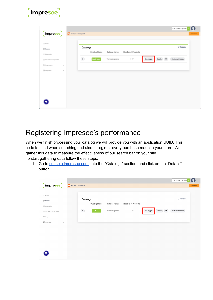| $\begin{bmatrix} \text{imprese} \end{bmatrix}$               | You have 0 trial days left |                     |                   |                    |             |                      |                   | CAM.ALVAREZ.I@GMAIL |
|--------------------------------------------------------------|----------------------------|---------------------|-------------------|--------------------|-------------|----------------------|-------------------|---------------------|
| (it) Home<br>C Catalogs                                      | Catalogs                   |                     |                   |                    |             |                      |                   | $\mathbb C$ Refresh |
| (ii) Subscription                                            |                            | Catalog Status      | Catalog Name      | Number of Products |             |                      |                   |                     |
| @ Test Search Configuration                                  | $\pm$                      | <b>Ready</b> to use | Your catalog name | 1127               | Get snippet | $\bullet$<br>Details | Custom attributes |                     |
| (7) image search<br>$\sim$<br>G Integration<br>$\mathcal{U}$ |                            |                     |                   |                    |             |                      |                   |                     |
|                                                              |                            |                     |                   |                    |             |                      |                   |                     |
|                                                              |                            |                     |                   |                    |             |                      |                   |                     |

# Registering Impresee's performance

When we finish processing your catalog we will provide you with an application UUID. This code is used when searching and also to register every purchase made in your store. We gather this data to measure the effectiveness of our search bar on your site. To start gathering data follow these steps:

1. Go to [console.impresee.com,](https://console.impresee.com) into the "Catalogs" section, and click on the "Details" button.

|                                             |                                                                           | CAM.ALVAREZ.I@GMAIL                                                           |
|---------------------------------------------|---------------------------------------------------------------------------|-------------------------------------------------------------------------------|
| $\left[\textrm{impresence}\right]$          | You have 0 trial days left                                                | Subscribe now                                                                 |
|                                             |                                                                           |                                                                               |
| ⑦ Home                                      | <b>Catalogs</b>                                                           | $\mathcal C$ Refresh                                                          |
| <sup>[1]</sup> Catalogs                     | <b>Catalog Status</b><br><b>Number of Products</b><br><b>Catalog Name</b> |                                                                               |
| Subscription                                |                                                                           |                                                                               |
| <sup>5</sup> Text Search Configuration      | $\overline{\Phi}$<br><b>Ready to use</b><br>Your catalog name<br>1127     | $\bullet$<br><b>Custom attributes</b><br><b>Details</b><br><b>Get snippet</b> |
| <sup>(2)</sup> Image search<br>$\checkmark$ |                                                                           |                                                                               |
| <b>公</b> Integration<br>$\check{~}$         |                                                                           |                                                                               |
|                                             |                                                                           |                                                                               |
|                                             |                                                                           |                                                                               |
|                                             |                                                                           |                                                                               |
|                                             |                                                                           |                                                                               |
|                                             |                                                                           |                                                                               |
|                                             |                                                                           |                                                                               |
|                                             |                                                                           |                                                                               |